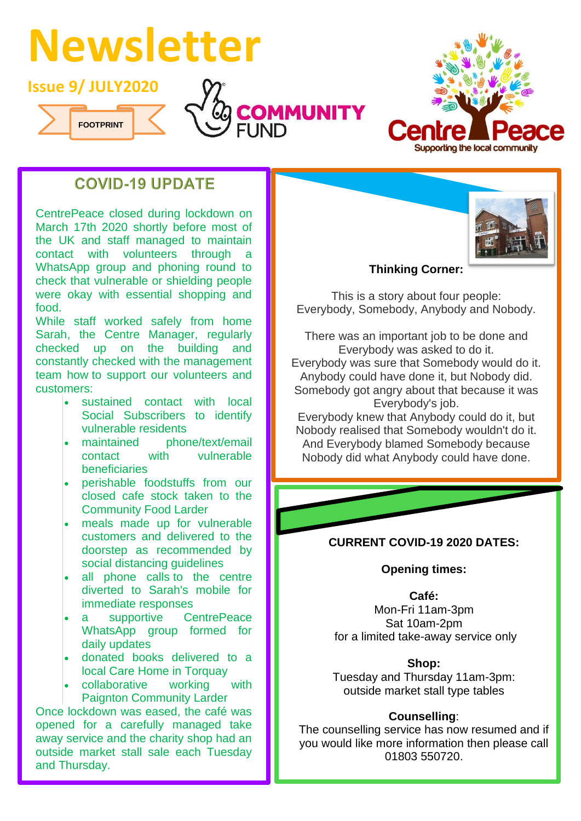# **Newsletter**







# **COVID-19 UPDATE**

CentrePeace closed during lockdown on March 17th 2020 shortly before most of the UK and staff managed to maintain contact with volunteers through a WhatsApp group and phoning round to check that vulnerable or shielding people were okay with essential shopping and food.

While staff worked safely from home Sarah, the Centre Manager, regularly checked up on the building and constantly checked with the management team how to support our volunteers and customers:

- sustained contact with local Social Subscribers to identify vulnerable residents
- maintained phone/text/email contact with vulnerable beneficiaries
- perishable foodstuffs from our closed cafe stock taken to the Community Food Larder
- meals made up for vulnerable customers and delivered to the doorstep as recommended by social distancing guidelines
- all phone calls to the centre diverted to Sarah's mobile for immediate responses
- a supportive CentrePeace WhatsApp group formed for daily updates
- donated books delivered to a local Care Home in Torquay
- collaborative working with Paignton Community Larder

Once lockdown was eased, the café was opened for a carefully managed take away service and the charity shop had an outside market stall sale each Tuesday and Thursday.



## **Thinking Corner:**

This is a story about four people: Everybody, Somebody, Anybody and Nobody.

There was an important job to be done and Everybody was asked to do it. Everybody was sure that Somebody would do it. Anybody could have done it, but Nobody did. Somebody got angry about that because it was Everybody's job.

Everybody knew that Anybody could do it, but Nobody realised that Somebody wouldn't do it. And Everybody blamed Somebody because Nobody did what Anybody could have done.

## **CURRENT COVID-19 2020 DATES:**

#### **Opening times:**

**Café:** 

Mon-Fri 11am-3pm Sat 10am-2pm for a limited take-away service only

#### **Shop:**

Tuesday and Thursday 11am-3pm: outside market stall type tables

## **Counselling**:

The counselling service has now resumed and if you would like more information then please call 01803 550720.